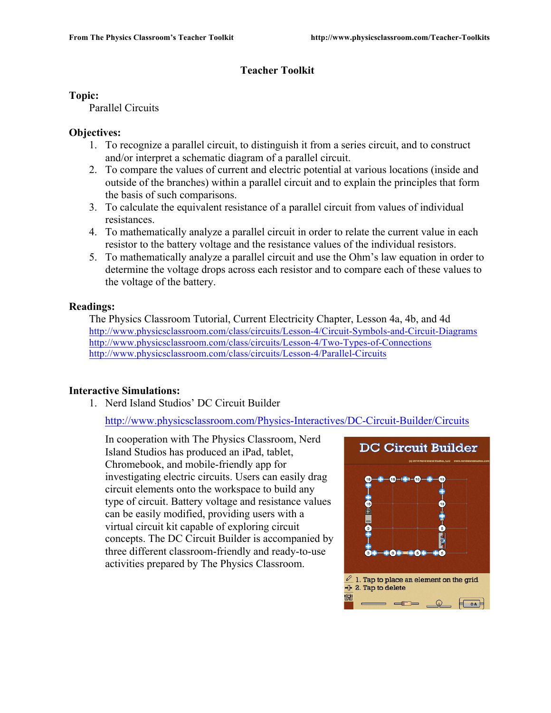# **Teacher Toolkit**

#### **Topic:**

Parallel Circuits

## **Objectives:**

- 1. To recognize a parallel circuit, to distinguish it from a series circuit, and to construct and/or interpret a schematic diagram of a parallel circuit.
- 2. To compare the values of current and electric potential at various locations (inside and outside of the branches) within a parallel circuit and to explain the principles that form the basis of such comparisons.
- 3. To calculate the equivalent resistance of a parallel circuit from values of individual resistances.
- 4. To mathematically analyze a parallel circuit in order to relate the current value in each resistor to the battery voltage and the resistance values of the individual resistors.
- 5. To mathematically analyze a parallel circuit and use the Ohm's law equation in order to determine the voltage drops across each resistor and to compare each of these values to the voltage of the battery.

## **Readings:**

The Physics Classroom Tutorial, Current Electricity Chapter, Lesson 4a, 4b, and 4d http://www.physicsclassroom.com/class/circuits/Lesson-4/Circuit-Symbols-and-Circuit-Diagrams http://www.physicsclassroom.com/class/circuits/Lesson-4/Two-Types-of-Connections http://www.physicsclassroom.com/class/circuits/Lesson-4/Parallel-Circuits

# **Interactive Simulations:**

1. Nerd Island Studios' DC Circuit Builder

http://www.physicsclassroom.com/Physics-Interactives/DC-Circuit-Builder/Circuits

In cooperation with The Physics Classroom, Nerd Island Studios has produced an iPad, tablet, Chromebook, and mobile-friendly app for investigating electric circuits. Users can easily drag circuit elements onto the workspace to build any type of circuit. Battery voltage and resistance values can be easily modified, providing users with a virtual circuit kit capable of exploring circuit concepts. The DC Circuit Builder is accompanied by three different classroom-friendly and ready-to-use activities prepared by The Physics Classroom.

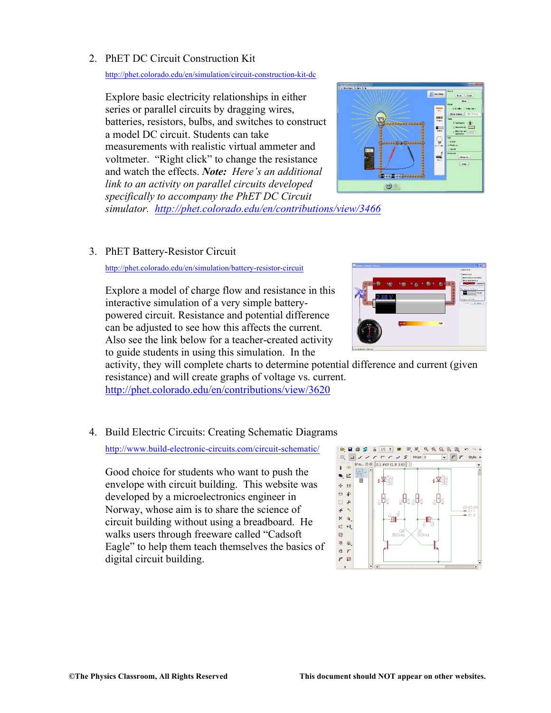# 2. PhET DC Circuit Construction Kit

http://phet.colorado.edu/en/simulation/circuit-construction-kit-dc

Explore basic electricity relationships in either series or parallel circuits by dragging wires, batteries, resistors, bulbs, and switches to construct a model DC circuit. Students can take measurements with realistic virtual ammeter and voltmeter. "Right click" to change the resistance and watch the effects. *Note: Here's an additional link to an activity on parallel circuits developed specifically to accompany the PhET DC Circuit* 



*simulator. http://phet.colorado.edu/en/contributions/view/3466*

## 3. PhET Battery-Resistor Circuit

http://phet.colorado.edu/en/simulation/battery-resistor-circuit

Explore a model of charge flow and resistance in this interactive simulation of a very simple batterypowered circuit. Resistance and potential difference can be adjusted to see how this affects the current. Also see the link below for a teacher-created activity to guide students in using this simulation. In the



activity, they will complete charts to determine potential difference and current (given resistance) and will create graphs of voltage vs. current.

http://phet.colorado.edu/en/contributions/view/3620

# 4. Build Electric Circuits: Creating Schematic Diagrams

http://www.build-electronic-circuits.com/circuit-schematic/

Good choice for students who want to push the envelope with circuit building. This website was developed by a microelectronics engineer in Norway, whose aim is to share the science of circuit building without using a breadboard. He walks users through freeware called "Cadsoft Eagle" to help them teach themselves the basics of digital circuit building.

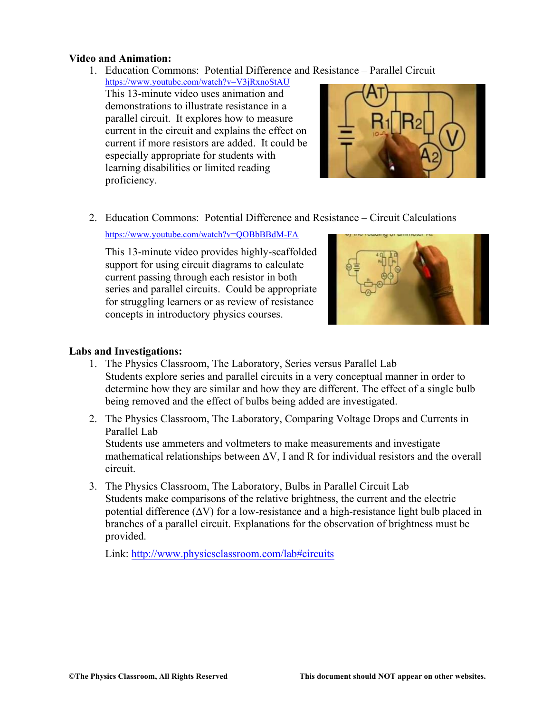#### **Video and Animation:**

1. Education Commons: Potential Difference and Resistance – Parallel Circuit

https://www.youtube.com/watch?v=V3jRxnoStAU This 13-minute video uses animation and demonstrations to illustrate resistance in a parallel circuit. It explores how to measure current in the circuit and explains the effect on current if more resistors are added. It could be especially appropriate for students with learning disabilities or limited reading proficiency.



2. Education Commons: Potential Difference and Resistance – Circuit Calculations

https://www.youtube.com/watch?v=QOBbBBdM-FA

This 13-minute video provides highly-scaffolded support for using circuit diagrams to calculate current passing through each resistor in both series and parallel circuits. Could be appropriate for struggling learners or as review of resistance concepts in introductory physics courses.



## **Labs and Investigations:**

- 1. The Physics Classroom, The Laboratory, Series versus Parallel Lab Students explore series and parallel circuits in a very conceptual manner in order to determine how they are similar and how they are different. The effect of a single bulb being removed and the effect of bulbs being added are investigated.
- 2. The Physics Classroom, The Laboratory, Comparing Voltage Drops and Currents in Parallel Lab Students use ammeters and voltmeters to make measurements and investigate mathematical relationships between ∆V, I and R for individual resistors and the overall circuit.
- 3. The Physics Classroom, The Laboratory, Bulbs in Parallel Circuit Lab Students make comparisons of the relative brightness, the current and the electric potential difference (∆V) for a low-resistance and a high-resistance light bulb placed in branches of a parallel circuit. Explanations for the observation of brightness must be provided.

Link: http://www.physicsclassroom.com/lab#circuits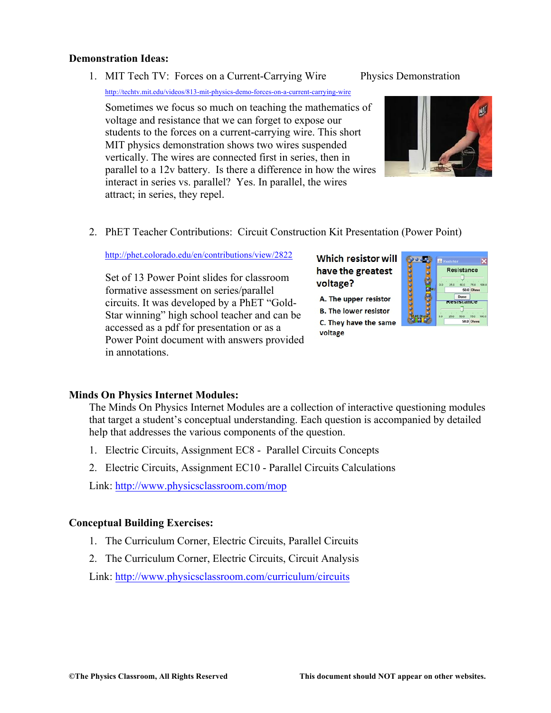#### **Demonstration Ideas:**

1. MIT Tech TV: Forces on a Current-Carrying Wire Physics Demonstration

http://techtv.mit.edu/videos/813-mit-physics-demo-forces-on-a-current-carrying-wire

Sometimes we focus so much on teaching the mathematics of voltage and resistance that we can forget to expose our students to the forces on a current-carrying wire. This short MIT physics demonstration shows two wires suspended vertically. The wires are connected first in series, then in parallel to a 12v battery. Is there a difference in how the wires interact in series vs. parallel? Yes. In parallel, the wires attract; in series, they repel.



2. PhET Teacher Contributions: Circuit Construction Kit Presentation (Power Point)

http://phet.colorado.edu/en/contributions/view/2822

Set of 13 Power Point slides for classroom formative assessment on series/parallel circuits. It was developed by a PhET "Gold-Star winning" high school teacher and can be accessed as a pdf for presentation or as a Power Point document with answers provided in annotations.

#### **Which resistor will** have the greatest voltage?

A. The upper resistor **B.** The lower resistor C. They have the same voltage



#### **Minds On Physics Internet Modules:**

The Minds On Physics Internet Modules are a collection of interactive questioning modules that target a student's conceptual understanding. Each question is accompanied by detailed help that addresses the various components of the question.

- 1. Electric Circuits, Assignment EC8 Parallel Circuits Concepts
- 2. Electric Circuits, Assignment EC10 Parallel Circuits Calculations

Link: http://www.physicsclassroom.com/mop

#### **Conceptual Building Exercises:**

- 1. The Curriculum Corner, Electric Circuits, Parallel Circuits
- 2. The Curriculum Corner, Electric Circuits, Circuit Analysis

Link: http://www.physicsclassroom.com/curriculum/circuits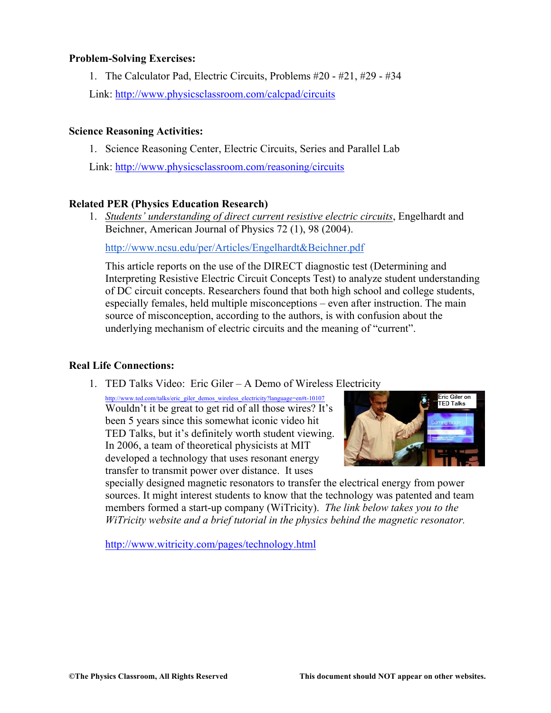## **Problem-Solving Exercises:**

1. The Calculator Pad, Electric Circuits, Problems #20 - #21, #29 - #34 Link: http://www.physicsclassroom.com/calcpad/circuits

## **Science Reasoning Activities:**

1. Science Reasoning Center, Electric Circuits, Series and Parallel Lab

Link: http://www.physicsclassroom.com/reasoning/circuits

# **Related PER (Physics Education Research)**

1. *Students' understanding of direct current resistive electric circuits*, Engelhardt and Beichner, American Journal of Physics 72 (1), 98 (2004).

http://www.ncsu.edu/per/Articles/Engelhardt&Beichner.pdf

This article reports on the use of the DIRECT diagnostic test (Determining and Interpreting Resistive Electric Circuit Concepts Test) to analyze student understanding of DC circuit concepts. Researchers found that both high school and college students, especially females, held multiple misconceptions – even after instruction. The main source of misconception, according to the authors, is with confusion about the underlying mechanism of electric circuits and the meaning of "current".

# **Real Life Connections:**

1. TED Talks Video: Eric Giler – A Demo of Wireless Electricity

http://www.ted.com/talks/eric\_giler\_demos\_wireless\_electricity?language=en#t-10107 Wouldn't it be great to get rid of all those wires? It's been 5 years since this somewhat iconic video hit TED Talks, but it's definitely worth student viewing. In 2006, a team of theoretical physicists at MIT developed a technology that uses resonant energy transfer to transmit power over distance. It uses



specially designed magnetic resonators to transfer the electrical energy from power sources. It might interest students to know that the technology was patented and team members formed a start-up company (WiTricity). *The link below takes you to the WiTricity website and a brief tutorial in the physics behind the magnetic resonator.* 

http://www.witricity.com/pages/technology.html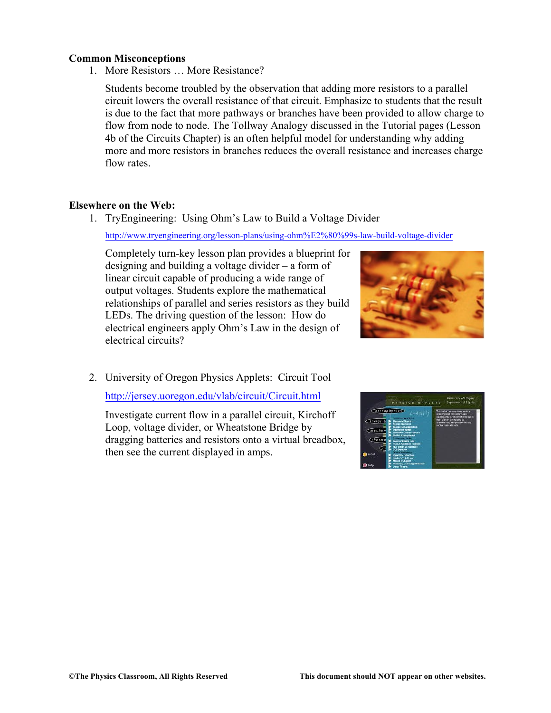### **Common Misconceptions**

1. More Resistors … More Resistance?

Students become troubled by the observation that adding more resistors to a parallel circuit lowers the overall resistance of that circuit. Emphasize to students that the result is due to the fact that more pathways or branches have been provided to allow charge to flow from node to node. The Tollway Analogy discussed in the Tutorial pages (Lesson 4b of the Circuits Chapter) is an often helpful model for understanding why adding more and more resistors in branches reduces the overall resistance and increases charge flow rates.

## **Elsewhere on the Web:**

1. TryEngineering: Using Ohm's Law to Build a Voltage Divider

http://www.tryengineering.org/lesson-plans/using-ohm%E2%80%99s-law-build-voltage-divider

Completely turn-key lesson plan provides a blueprint for designing and building a voltage divider – a form of linear circuit capable of producing a wide range of output voltages. Students explore the mathematical relationships of parallel and series resistors as they build LEDs. The driving question of the lesson: How do electrical engineers apply Ohm's Law in the design of electrical circuits?



2. University of Oregon Physics Applets: Circuit Tool

http://jersey.uoregon.edu/vlab/circuit/Circuit.html

Investigate current flow in a parallel circuit, Kirchoff Loop, voltage divider, or Wheatstone Bridge by dragging batteries and resistors onto a virtual breadbox, then see the current displayed in amps.

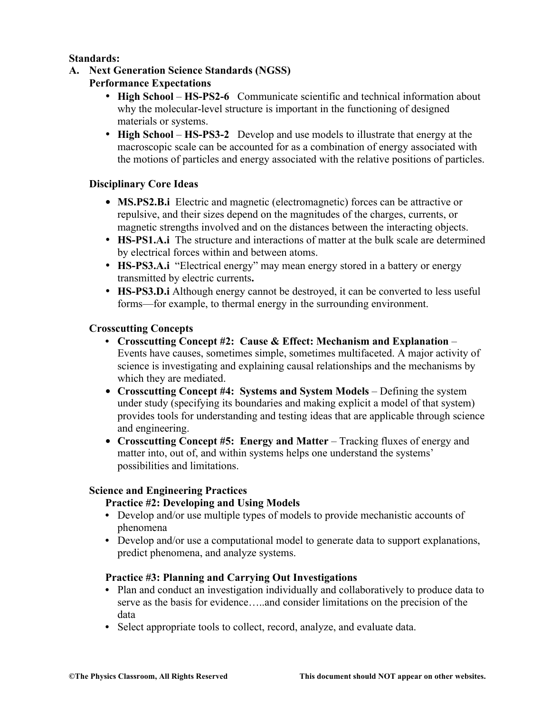## **Standards:**

# **A. Next Generation Science Standards (NGSS)**

- **Performance Expectations**
	- **High School HS-PS2-6** Communicate scientific and technical information about why the molecular-level structure is important in the functioning of designed materials or systems.
	- **High School HS-PS3-2** Develop and use models to illustrate that energy at the macroscopic scale can be accounted for as a combination of energy associated with the motions of particles and energy associated with the relative positions of particles.

# **Disciplinary Core Ideas**

- **• MS.PS2.B.i** Electric and magnetic (electromagnetic) forces can be attractive or repulsive, and their sizes depend on the magnitudes of the charges, currents, or magnetic strengths involved and on the distances between the interacting objects.
- **HS-PS1.A.i** The structure and interactions of matter at the bulk scale are determined by electrical forces within and between atoms.
- **HS-PS3.A.i** "Electrical energy" may mean energy stored in a battery or energy transmitted by electric currents**.**
- **HS-PS3.D.i** Although energy cannot be destroyed, it can be converted to less useful forms—for example, to thermal energy in the surrounding environment.

# **Crosscutting Concepts**

- **• Crosscutting Concept #2: Cause & Effect: Mechanism and Explanation** Events have causes, sometimes simple, sometimes multifaceted. A major activity of science is investigating and explaining causal relationships and the mechanisms by which they are mediated.
- **• Crosscutting Concept #4: Systems and System Models** Defining the system under study (specifying its boundaries and making explicit a model of that system) provides tools for understanding and testing ideas that are applicable through science and engineering.
- **• Crosscutting Concept #5: Energy and Matter** Tracking fluxes of energy and matter into, out of, and within systems helps one understand the systems' possibilities and limitations.

# **Science and Engineering Practices**

# **Practice #2: Developing and Using Models**

- **•** Develop and/or use multiple types of models to provide mechanistic accounts of phenomena
- Develop and/or use a computational model to generate data to support explanations, predict phenomena, and analyze systems.

# **Practice #3: Planning and Carrying Out Investigations**

- **•** Plan and conduct an investigation individually and collaboratively to produce data to serve as the basis for evidence…..and consider limitations on the precision of the data
- **•** Select appropriate tools to collect, record, analyze, and evaluate data.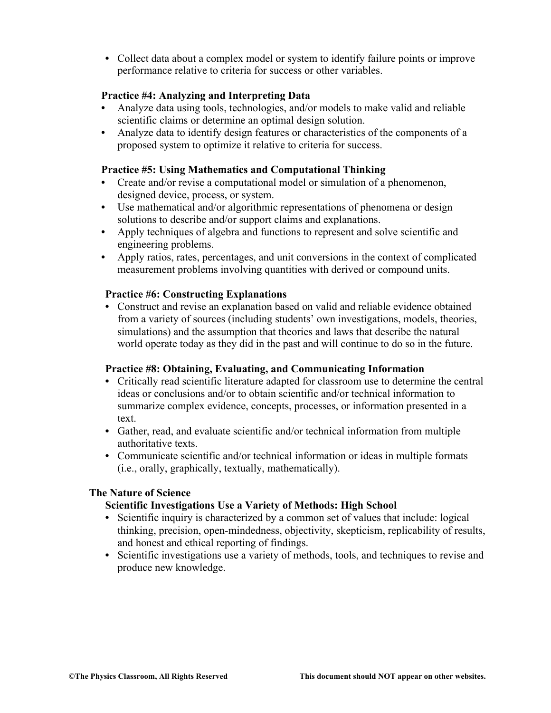**•** Collect data about a complex model or system to identify failure points or improve performance relative to criteria for success or other variables.

## **Practice #4: Analyzing and Interpreting Data**

- **•** Analyze data using tools, technologies, and/or models to make valid and reliable scientific claims or determine an optimal design solution.
- **•** Analyze data to identify design features or characteristics of the components of a proposed system to optimize it relative to criteria for success.

## **Practice #5: Using Mathematics and Computational Thinking**

- **•** Create and/or revise a computational model or simulation of a phenomenon, designed device, process, or system.
- **•** Use mathematical and/or algorithmic representations of phenomena or design solutions to describe and/or support claims and explanations.
- **•** Apply techniques of algebra and functions to represent and solve scientific and engineering problems.
- **•** Apply ratios, rates, percentages, and unit conversions in the context of complicated measurement problems involving quantities with derived or compound units.

## **Practice #6: Constructing Explanations**

**•** Construct and revise an explanation based on valid and reliable evidence obtained from a variety of sources (including students' own investigations, models, theories, simulations) and the assumption that theories and laws that describe the natural world operate today as they did in the past and will continue to do so in the future.

#### **Practice #8: Obtaining, Evaluating, and Communicating Information**

- Critically read scientific literature adapted for classroom use to determine the central ideas or conclusions and/or to obtain scientific and/or technical information to summarize complex evidence, concepts, processes, or information presented in a text.
- **•** Gather, read, and evaluate scientific and/or technical information from multiple authoritative texts.
- **•** Communicate scientific and/or technical information or ideas in multiple formats (i.e., orally, graphically, textually, mathematically).

#### **The Nature of Science**

# **Scientific Investigations Use a Variety of Methods: High School**

- **•** Scientific inquiry is characterized by a common set of values that include: logical thinking, precision, open-mindedness, objectivity, skepticism, replicability of results, and honest and ethical reporting of findings.
- **•** Scientific investigations use a variety of methods, tools, and techniques to revise and produce new knowledge.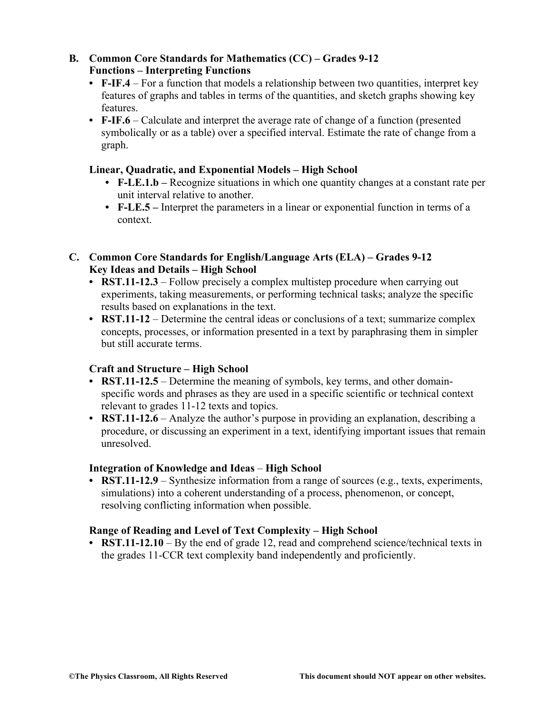## **B. Common Core Standards for Mathematics (CC) – Grades 9-12 Functions – Interpreting Functions**

- **• F-IF.4** For a function that models a relationship between two quantities, interpret key features of graphs and tables in terms of the quantities, and sketch graphs showing key features.
- **• F-IF.6** Calculate and interpret the average rate of change of a function (presented symbolically or as a table) over a specified interval. Estimate the rate of change from a graph.

## **Linear, Quadratic, and Exponential Models – High School**

- **• F-LE.1.b –** Recognize situations in which one quantity changes at a constant rate per unit interval relative to another.
- **• F-LE.5 –** Interpret the parameters in a linear or exponential function in terms of a context.
- **C. Common Core Standards for English/Language Arts (ELA) – Grades 9-12 Key Ideas and Details – High School**
	- **RST.11-12.3** Follow precisely a complex multistep procedure when carrying out experiments, taking measurements, or performing technical tasks; analyze the specific results based on explanations in the text.
	- **RST.11-12** Determine the central ideas or conclusions of a text; summarize complex concepts, processes, or information presented in a text by paraphrasing them in simpler but still accurate terms.

# **Craft and Structure – High School**

- **• RST.11-12.5**  Determine the meaning of symbols, key terms, and other domainspecific words and phrases as they are used in a specific scientific or technical context relevant to grades 11-12 texts and topics.
- **• RST.11-12.6** Analyze the author's purpose in providing an explanation, describing a procedure, or discussing an experiment in a text, identifying important issues that remain unresolved.

#### **Integration of Knowledge and Ideas** – **High School**

**• RST.11-12.9** – Synthesize information from a range of sources (e.g., texts, experiments, simulations) into a coherent understanding of a process, phenomenon, or concept, resolving conflicting information when possible.

#### **Range of Reading and Level of Text Complexity – High School**

**• RST.11-12.10** – By the end of grade 12, read and comprehend science/technical texts in the grades 11-CCR text complexity band independently and proficiently.